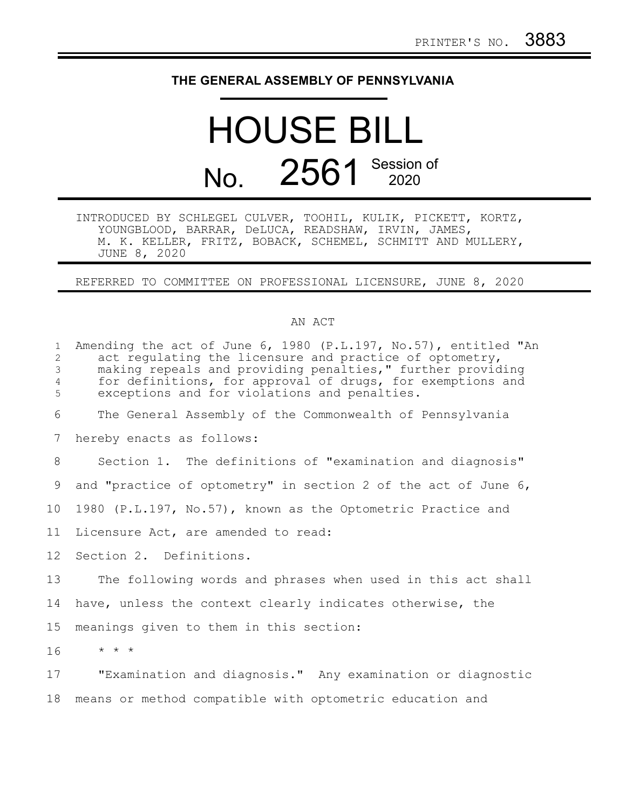## **THE GENERAL ASSEMBLY OF PENNSYLVANIA**

# HOUSE BILL No. 2561 Session of

INTRODUCED BY SCHLEGEL CULVER, TOOHIL, KULIK, PICKETT, KORTZ, YOUNGBLOOD, BARRAR, DeLUCA, READSHAW, IRVIN, JAMES, M. K. KELLER, FRITZ, BOBACK, SCHEMEL, SCHMITT AND MULLERY, JUNE 8, 2020

#### REFERRED TO COMMITTEE ON PROFESSIONAL LICENSURE, JUNE 8, 2020

#### AN ACT

| $\mathbf{1}$<br>2<br>3<br>$\overline{4}$<br>5 | Amending the act of June 6, 1980 (P.L.197, No.57), entitled "An<br>act requiating the licensure and practice of optometry,<br>making repeals and providing penalties," further providing<br>for definitions, for approval of drugs, for exemptions and<br>exceptions and for violations and penalties. |
|-----------------------------------------------|--------------------------------------------------------------------------------------------------------------------------------------------------------------------------------------------------------------------------------------------------------------------------------------------------------|
| 6                                             | The General Assembly of the Commonwealth of Pennsylvania                                                                                                                                                                                                                                               |
| 7                                             | hereby enacts as follows:                                                                                                                                                                                                                                                                              |
| 8                                             | Section 1. The definitions of "examination and diagnosis"                                                                                                                                                                                                                                              |
| 9                                             | and "practice of optometry" in section 2 of the act of June 6,                                                                                                                                                                                                                                         |
| 10 <sub>o</sub>                               | 1980 (P.L.197, No.57), known as the Optometric Practice and                                                                                                                                                                                                                                            |
| 11                                            | Licensure Act, are amended to read:                                                                                                                                                                                                                                                                    |
| 12 <sup>°</sup>                               | Section 2. Definitions.                                                                                                                                                                                                                                                                                |
| 13                                            | The following words and phrases when used in this act shall                                                                                                                                                                                                                                            |
| 14                                            | have, unless the context clearly indicates otherwise, the                                                                                                                                                                                                                                              |
| 15                                            | meanings given to them in this section:                                                                                                                                                                                                                                                                |
| 16                                            | $\star$ $\star$ $\star$                                                                                                                                                                                                                                                                                |
| 17                                            | "Examination and diagnosis." Any examination or diagnostic                                                                                                                                                                                                                                             |
| 18                                            | means or method compatible with optometric education and                                                                                                                                                                                                                                               |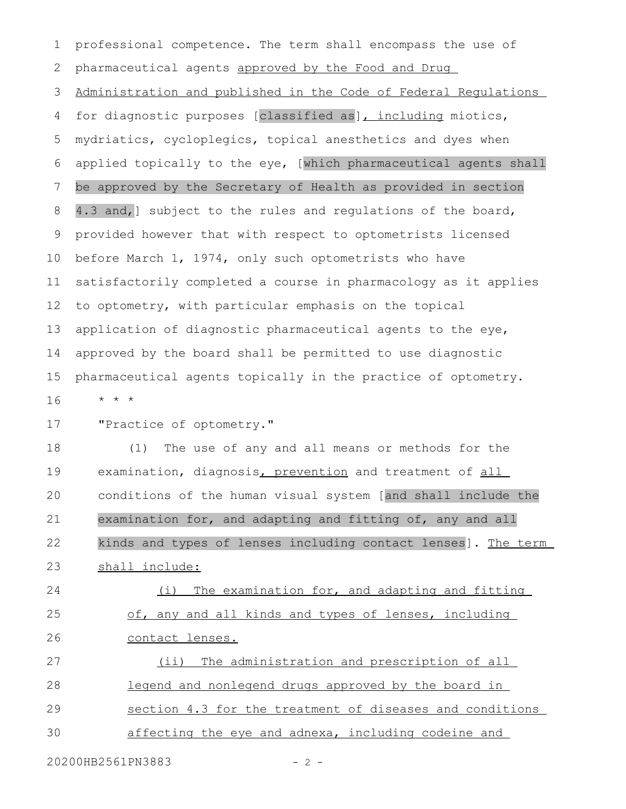professional competence. The term shall encompass the use of pharmaceutical agents approved by the Food and Drug Administration and published in the Code of Federal Regulations for diagnostic purposes [classified as], including miotics, mydriatics, cycloplegics, topical anesthetics and dyes when applied topically to the eye, [which pharmaceutical agents shall be approved by the Secretary of Health as provided in section 4.3 and,] subject to the rules and regulations of the board, provided however that with respect to optometrists licensed before March 1, 1974, only such optometrists who have satisfactorily completed a course in pharmacology as it applies to optometry, with particular emphasis on the topical application of diagnostic pharmaceutical agents to the eye, approved by the board shall be permitted to use diagnostic pharmaceutical agents topically in the practice of optometry. \* \* \* 1 2 3 4 5 6 7 8 9 10 11 12 13 14 15 16

"Practice of optometry." 17

(1) The use of any and all means or methods for the examination, diagnosis, prevention and treatment of all conditions of the human visual system [and shall include the examination for, and adapting and fitting of, any and all kinds and types of lenses including contact lenses]. The term shall include: 18 19 20 21 22 23

(i) The examination for, and adapting and fitting of, any and all kinds and types of lenses, including contact lenses. 24 25 26

(ii) The administration and prescription of all legend and nonlegend drugs approved by the board in section 4.3 for the treatment of diseases and conditions affecting the eye and adnexa, including codeine and 27 28 29 30

20200HB2561PN3883 - 2 -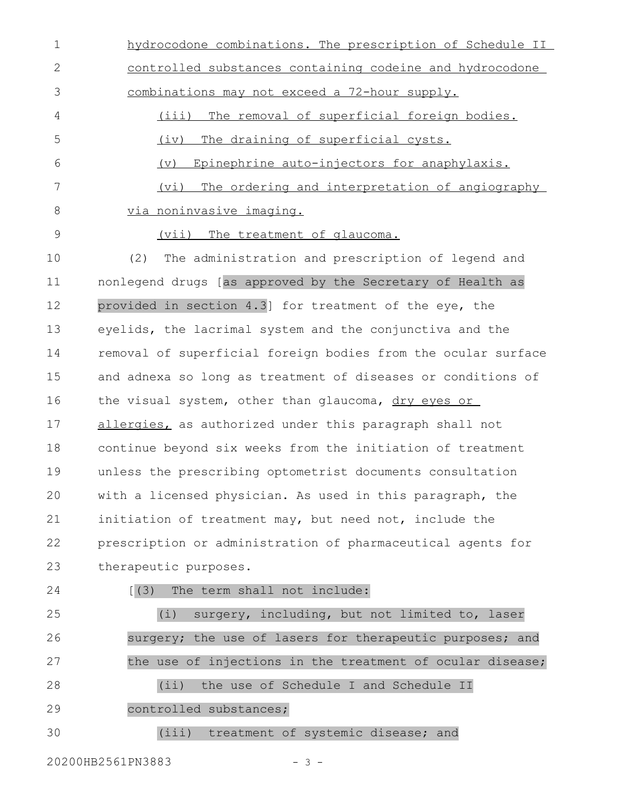hydrocodone combinations. The prescription of Schedule II controlled substances containing codeine and hydrocodone combinations may not exceed a 72-hour supply. (iii) The removal of superficial foreign bodies. (iv) The draining of superficial cysts. (v) Epinephrine auto-injectors for anaphylaxis. (vi) The ordering and interpretation of angiography via noninvasive imaging. 1 2 3 4 5 6 7 8

9

(vii) The treatment of glaucoma.

(2) The administration and prescription of legend and nonlegend drugs [as approved by the Secretary of Health as provided in section 4.3] for treatment of the eye, the eyelids, the lacrimal system and the conjunctiva and the removal of superficial foreign bodies from the ocular surface and adnexa so long as treatment of diseases or conditions of the visual system, other than glaucoma, dry eyes or allergies, as authorized under this paragraph shall not continue beyond six weeks from the initiation of treatment unless the prescribing optometrist documents consultation with a licensed physician. As used in this paragraph, the initiation of treatment may, but need not, include the prescription or administration of pharmaceutical agents for therapeutic purposes. 10 11 12 13 14 15 16 17 18 19 20 21 22 23

24

### [(3) The term shall not include:

(i) surgery, including, but not limited to, laser surgery; the use of lasers for therapeutic purposes; and the use of injections in the treatment of ocular disease; (ii) the use of Schedule I and Schedule II controlled substances; 25 26 27 28 29

(iii) treatment of systemic disease; and 30

20200HB2561PN3883 - 3 -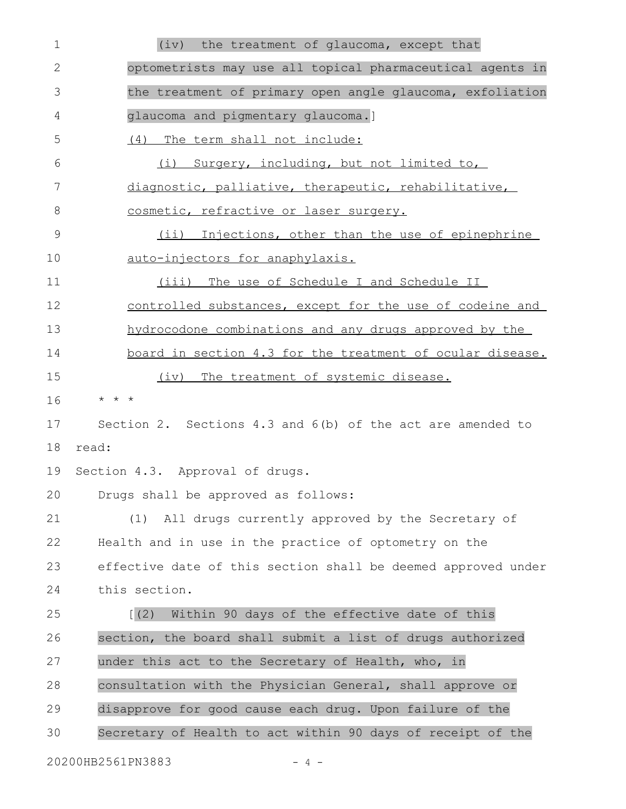| 1            | the treatment of glaucoma, except that<br>(iv)                |
|--------------|---------------------------------------------------------------|
| $\mathbf{2}$ | optometrists may use all topical pharmaceutical agents in     |
| 3            | the treatment of primary open angle glaucoma, exfoliation     |
| 4            | glaucoma and pigmentary glaucoma.]                            |
| 5            | The term shall not include:<br>(4)                            |
| 6            | (i) Surgery, including, but not limited to,                   |
| 7            | diagnostic, palliative, therapeutic, rehabilitative,          |
| 8            | cosmetic, refractive or laser surgery.                        |
| 9            | $(i$ ii)<br>Injections, other than the use of epinephrine     |
| 10           | auto-injectors for anaphylaxis.                               |
| 11           | (iii) The use of Schedule I and Schedule II                   |
| 12           | controlled substances, except for the use of codeine and      |
| 13           | hydrocodone combinations and any drugs approved by the        |
| 14           | board in section 4.3 for the treatment of ocular disease.     |
| 15           | (iv) The treatment of systemic disease.                       |
| 16           | $\star$ $\star$ $\star$                                       |
| 17           | Section 2. Sections 4.3 and $6(b)$ of the act are amended to  |
| 18           | read:                                                         |
| 19           | Section 4.3. Approval of drugs.                               |
|              | 20 Drugs shall be approved as follows:                        |
| 21           | All drugs currently approved by the Secretary of<br>(1)       |
| 22           | Health and in use in the practice of optometry on the         |
| 23           | effective date of this section shall be deemed approved under |
| 24           | this section.                                                 |
| 25           | Within 90 days of the effective date of this<br>(2)           |
| 26           | section, the board shall submit a list of drugs authorized    |
| 27           | under this act to the Secretary of Health, who, in            |
| 28           | consultation with the Physician General, shall approve or     |
| 29           | disapprove for good cause each drug. Upon failure of the      |
| 30           | Secretary of Health to act within 90 days of receipt of the   |
|              |                                                               |

20200HB2561PN3883 - 4 -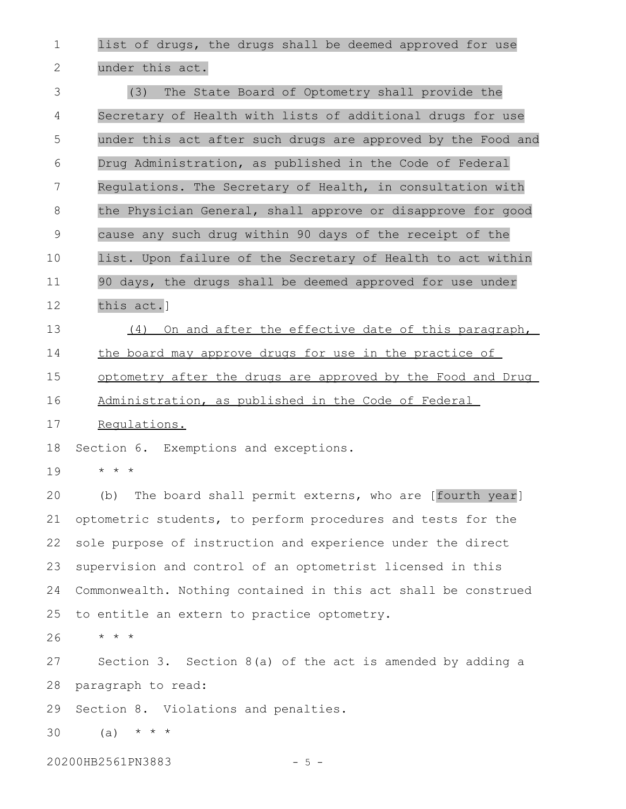list of drugs, the drugs shall be deemed approved for use under this act. 1 2

(3) The State Board of Optometry shall provide the Secretary of Health with lists of additional drugs for use under this act after such drugs are approved by the Food and Drug Administration, as published in the Code of Federal Regulations. The Secretary of Health, in consultation with the Physician General, shall approve or disapprove for good cause any such drug within 90 days of the receipt of the list. Upon failure of the Secretary of Health to act within 90 days, the drugs shall be deemed approved for use under this act.] 3 4 5 6 7 8 9 10 11 12

(4) On and after the effective date of this paragraph, the board may approve drugs for use in the practice of 13 14

optometry after the drugs are approved by the Food and Drug 15

Administration, as published in the Code of Federal 16

Regulations. 17

Section 6. Exemptions and exceptions. 18

\* \* \* 19

(b) The board shall permit externs, who are [fourth year] optometric students, to perform procedures and tests for the sole purpose of instruction and experience under the direct supervision and control of an optometrist licensed in this Commonwealth. Nothing contained in this act shall be construed to entitle an extern to practice optometry. 20 21 22 23 24 25

\* \* \* 26

Section 3. Section  $8(a)$  of the act is amended by adding a paragraph to read: 27 28

Section 8. Violations and penalties. 29

 $(a) * * * * *$ 30

20200HB2561PN3883 - 5 -